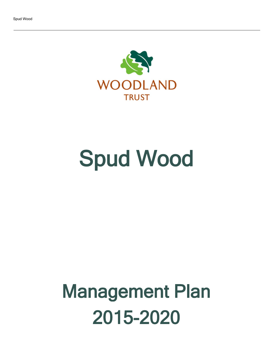

# Spud Wood

## Management Plan 2015-2020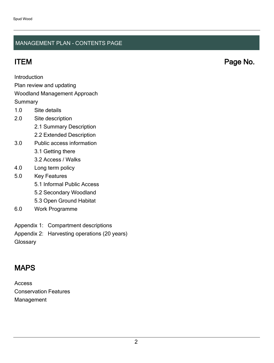## MANAGEMENT PLAN - CONTENTS PAGE

ITEM Page No.

Introduction

Plan review and updating

## Woodland Management Approach

**Summary** 

- 1.0 Site details
- 2.0 Site description
	- 2.1 Summary Description
	- 2.2 Extended Description
- 3.0 Public access information
	- 3.1 Getting there
	- 3.2 Access / Walks
- 4.0 Long term policy
- 5.0 Key Features
	- 5.1 Informal Public Access
	- 5.2 Secondary Woodland
	- 5.3 Open Ground Habitat
- 6.0 Work Programme
- Appendix 1: Compartment descriptions
- Appendix 2: Harvesting operations (20 years)
- **Glossary**

## MAPS

Access Conservation Features Management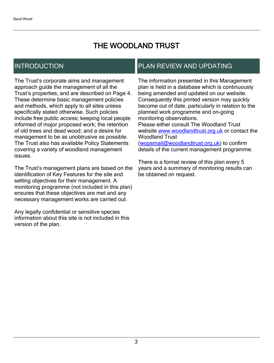## THE WOODLAND TRUST

## INTRODUCTION

The Trust's corporate aims and management approach guide the management of all the Trust's properties, and are described on Page 4. These determine basic management policies and methods, which apply to all sites unless specifically stated otherwise. Such policies include free public access; keeping local people informed of major proposed work; the retention of old trees and dead wood; and a desire for management to be as unobtrusive as possible. The Trust also has available Policy Statements covering a variety of woodland management issues.

The Trust's management plans are based on the identification of Key Features for the site and setting objectives for their management. A monitoring programme (not included in this plan) ensures that these objectives are met and any necessary management works are carried out.

Any legally confidential or sensitive species information about this site is not included in this version of the plan.

## PLAN REVIEW AND UPDATING

The information presented in this Management plan is held in a database which is continuously being amended and updated on our website. Consequently this printed version may quickly become out of date, particularly in relation to the planned work programme and on-going monitoring observations. Please either consult The Woodland Trust website [www.woodlandtrust.org.uk](http://www.woodlandtrust.org.uk/) or contact the Woodland Trust [\(wopsmail@woodlandtrust.org.uk](mailto:wopsmail@woodlandtrust.org.uk)) to confirm

details of the current management programme.

There is a formal review of this plan every 5 years and a summary of monitoring results can be obtained on request.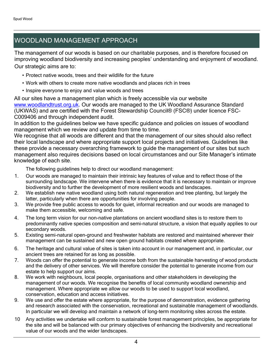## WOODLAND MANAGEMENT APPROACH

The management of our woods is based on our charitable purposes, and is therefore focused on improving woodland biodiversity and increasing peoples' understanding and enjoyment of woodland. Our strategic aims are to:

- Protect native woods, trees and their wildlife for the future
- Work with others to create more native woodlands and places rich in trees
- Inspire everyone to enjoy and value woods and trees

All our sites have a management plan which is freely accessible via our website [www.woodlandtrust.org.uk.](http://www.woodlandtrust.org.uk/) Our woods are managed to the UK Woodland Assurance Standard (UKWAS) and are certified with the Forest Stewardship Council® (FSC®) under licence FSC-C009406 and through independent audit.

In addition to the guidelines below we have specific guidance and policies on issues of woodland management which we review and update from time to time.

We recognise that all woods are different and that the management of our sites should also reflect their local landscape and where appropriate support local projects and initiatives. Guidelines like these provide a necessary overarching framework to guide the management of our sites but such management also requires decisions based on local circumstances and our Site Manager's intimate knowledge of each site.

The following guidelines help to direct our woodland management:

- 1. Our woods are managed to maintain their intrinsic key features of value and to reflect those of the surrounding landscape. We intervene when there is evidence that it is necessary to maintain or improve biodiversity and to further the development of more resilient woods and landscapes.
- 2. We establish new native woodland using both natural regeneration and tree planting, but largely the latter, particularly when there are opportunities for involving people.
- 3. We provide free public access to woods for quiet, informal recreation and our woods are managed to make them accessible, welcoming and safe.
- 4. The long term vision for our non-native plantations on ancient woodland sites is to restore them to predominantly native species composition and semi-natural structure, a vision that equally applies to our secondary woods.
- 5. Existing semi-natural open-ground and freshwater habitats are restored and maintained wherever their management can be sustained and new open ground habitats created where appropriate.
- 6. The heritage and cultural value of sites is taken into account in our management and, in particular, our ancient trees are retained for as long as possible.
- 7. Woods can offer the potential to generate income both from the sustainable harvesting of wood products and the delivery of other services. We will therefore consider the potential to generate income from our estate to help support our aims.
- 8. We work with neighbours, local people, organisations and other stakeholders in developing the management of our woods. We recognise the benefits of local community woodland ownership and management. Where appropriate we allow our woods to be used to support local woodland, conservation, education and access initiatives.
- 9. We use and offer the estate where appropriate, for the purpose of demonstration, evidence gathering and research associated with the conservation, recreational and sustainable management of woodlands. In particular we will develop and maintain a network of long-term monitoring sites across the estate.
- 10 Any activities we undertake will conform to sustainable forest management principles, be appropriate for the site and will be balanced with our primary objectives of enhancing the biodiversity and recreational value of our woods and the wider landscapes.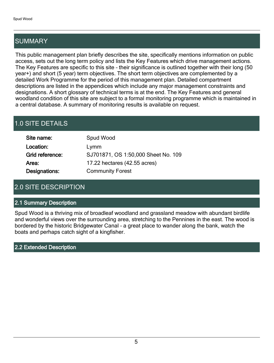## SUMMARY

This public management plan briefly describes the site, specifically mentions information on public access, sets out the long term policy and lists the Key Features which drive management actions. The Key Features are specific to this site - their significance is outlined together with their long (50 year+) and short (5 year) term objectives. The short term objectives are complemented by a detailed Work Programme for the period of this management plan. Detailed compartment descriptions are listed in the appendices which include any major management constraints and designations. A short glossary of technical terms is at the end. The Key Features and general woodland condition of this site are subject to a formal monitoring programme which is maintained in a central database. A summary of monitoring results is available on request.

## 1.0 SITE DETAILS

| Site name:      | Spud Wood                           |
|-----------------|-------------------------------------|
| Location:       | Lymm                                |
| Grid reference: | SJ701871, OS 1:50,000 Sheet No. 109 |
| Area:           | 17.22 hectares (42.55 acres)        |
| Designations:   | <b>Community Forest</b>             |

## 2.0 SITE DESCRIPTION

## 2.1 Summary Description

Spud Wood is a thriving mix of broadleaf woodland and grassland meadow with abundant birdlife and wonderful views over the surrounding area, stretching to the Pennines in the east. The wood is bordered by the historic Bridgewater Canal - a great place to wander along the bank, watch the boats and perhaps catch sight of a kingfisher.

2.2 Extended Description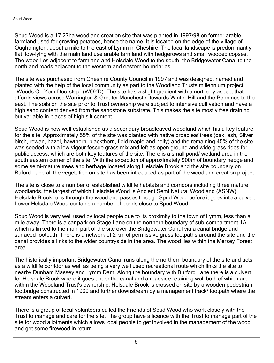Spud Wood is a 17.27ha woodland creation site that was planted in 1997/98 on former arable farmland used for growing potatoes, hence the name. It is located on the edge of the village of Oughtrington, about a mile to the east of Lymm in Cheshire. The local landscape is predominantly flat, low-lying with the main land use arable farmland with hedgerows and small wooded copses. The wood lies adjacent to farmland and Helsdale Wood to the south, the Bridgewater Canal to the north and roads adjacent to the western and eastern boundaries.

The site was purchased from Cheshire County Council in 1997 and was designed, named and planted with the help of the local community as part to the Woodland Trusts millennium project "Woods On Your Doorstep" (WOYD). The site has a slight gradient with a northerly aspect that affords views across Warrington & Greater Manchester towards Winter Hill and the Pennines to the east. The soils on the site prior to Trust ownership were subject to intensive cultivation and have a high sand content derived from the sandstone substrate. This makes the site mostly free draining but variable in places of high silt content.

Spud Wood is now well established as a secondary broadleaved woodland which his a key feature for the site. Approximately 55% of the site was planted with native broadleaf trees (oak, ash, Silver birch, rowan, hazel, hawthorn, blackthorn, field maple and holly) and the remaining 45% of the site was seeded with a low vigour fescue grass mix and left as open ground and wide grass rides for public access, which are both key features of the site. There is a small pond/ wetland area in the south eastern corner of the site. With the exception of approximately 900m of boundary hedge and some semi-mature trees and herbage located along Helsdale Brook and the site boundary on Buford Lane all the vegetation on site has been introduced as part of the woodland creation project.

The site is close to a number of established wildlife habitats and corridors including three mature woodlands, the largest of which Helsdale Wood is Ancient Semi Natural Woodland (ASNW). Helsdale Brook runs through the wood and passes through Spud Wood before it goes into a culvert. Lower Helsdale Wood contains a number of ponds close to Spud Wood.

Spud Wood is very well used by local people due to its proximity to the town of Lymm, less than a mile away. There is a car park on Stage Lane on the northern boundary of sub-compartment 1A which is linked to the main part of the site over the Bridgewater Canal via a canal bridge and surfaced footpath. There is a network of 2 km of permissive grass footpaths around the site and the canal provides a links to the wider countryside in the area. The wood lies within the Mersey Forest area.

The historically important Bridgewater Canal runs along the northern boundary of the site and acts as a wildlife corridor as well as being a very well used recreational route which links the site to nearby Dunham Massey and Lymm Dam. Along the boundary with Burford Lane there is a culvert for Helsdale Brook where it goes under the canal and a roadside retaining wall both of which are within the Woodland Trust's ownership. Helsdale Brook is crossed on site by a wooden pedestrian footbridge constructed in 1999 and further downstream by a management track/ footpath where the stream enters a culvert.

There is a group of local volunteers called the Friends of Spud Wood who work closely with the Trust to manage and care for the site. The group have a licence with the Trust to manage part of the site for wood allotments which allows local people to get involved in the management of the wood and get some firewood in return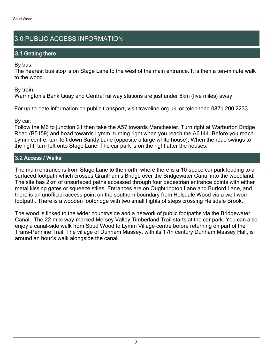## 3.0 PUBLIC ACCESS INFORMATION

## 3.1 Getting there

By bus:

The nearest bus stop is on Stage Lane to the west of the main entrance. It is then a ten-minute walk to the wood.

By train:

Warrington's Bank Quay and Central railway stations are just under 8km (five miles) away.

For up-to-date information on public transport, visit traveline.org.uk or telephone 0871 200 2233.

By car:

Follow the M6 to junction 21 then take the A57 towards Manchester. Turn right at Warburton Bridge Road (B5159) and head towards Lymm, turning right when you reach the A6144. Before you reach Lymm centre, turn left down Sandy Lane (opposite a large white house). When the road swings to the right, turn left onto Stage Lane. The car park is on the right after the houses.

## 3.2 Access / Walks

The main entrance is from Stage Lane to the north, where there is a 10-space car park leading to a surfaced footpath which crosses Grantham's Bridge over the Bridgewater Canal into the woodland. The site has 2km of unsurfaced paths accessed through four pedestrian entrance points with either metal kissing gates or squeeze stiles. Entrances are on Oughtrington Lane and Burford Lane, and there is an unofficial access point on the southern boundary from Helsdale Wood via a well-worn footpath. There is a wooden footbridge with two small flights of steps crossing Helsdale Brook.

The wood is linked to the wider countryside and a network of public footpaths via the Bridgewater Canal. The 22-mile way-marked Mersey Valley Timberland Trail starts at the car park. You can also enjoy a canal-side walk from Spud Wood to Lymm Village centre before returning on part of the Trans-Pennine Trail. The village of Dunham Massey, with its 17th century Dunham Massey Hall, is around an hour's walk alongside the canal.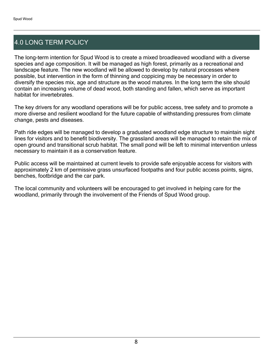## 4.0 LONG TERM POLICY

The long-term intention for Spud Wood is to create a mixed broadleaved woodland with a diverse species and age composition. It will be managed as high forest, primarily as a recreational and landscape feature. The new woodland will be allowed to develop by natural processes where possible, but intervention in the form of thinning and coppicing may be necessary in order to diversify the species mix, age and structure as the wood matures. In the long term the site should contain an increasing volume of dead wood, both standing and fallen, which serve as important habitat for invertebrates.

The key drivers for any woodland operations will be for public access, tree safety and to promote a more diverse and resilient woodland for the future capable of withstanding pressures from climate change, pests and diseases.

Path ride edges will be managed to develop a graduated woodland edge structure to maintain sight lines for visitors and to benefit biodiversity. The grassland areas will be managed to retain the mix of open ground and transitional scrub habitat. The small pond will be left to minimal intervention unless necessary to maintain it as a conservation feature.

Public access will be maintained at current levels to provide safe enjoyable access for visitors with approximately 2 km of permissive grass unsurfaced footpaths and four public access points, signs, benches, footbridge and the car park.

The local community and volunteers will be encouraged to get involved in helping care for the woodland, primarily through the involvement of the Friends of Spud Wood group.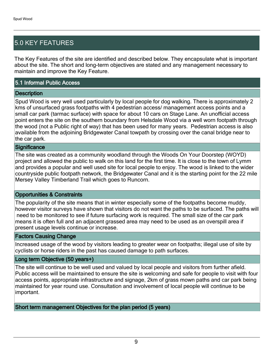## 5.0 KEY FEATURES

The Key Features of the site are identified and described below. They encapsulate what is important about the site. The short and long-term objectives are stated and any management necessary to maintain and improve the Key Feature.

## 5.1 Informal Public Access

## **Description**

Spud Wood is very well used particularly by local people for dog walking. There is approximately 2 kms of unsurfaced grass footpaths with 4 pedestrian access/ management access points and a small car park (tarmac surface) with space for about 10 cars on Stage Lane. An unofficial access point enters the site on the southern boundary from Helsdale Wood via a well worn footpath through the wood (not a Public right of way) that has been used for many years. Pedestrian access is also available from the adjoining Bridgewater Canal towpath by crossing over the canal bridge near to the car park.

#### **Significance**

The site was created as a community woodland through the Woods On Your Doorstep (WOYD) project and allowed the public to walk on this land for the first time. It is close to the town of Lymm and provides a popular and well used site for local people to enjoy. The wood is linked to the wider countryside public footpath network, the Bridgewater Canal and it is the starting point for the 22 mile Mersey Valley Timberland Trail which goes to Runcorn.

## Opportunities & Constraints

The popularity of the site means that in winter especially some of the footpaths become muddy, however visitor surveys have shown that visitors do not want the paths to be surfaced. The paths will need to be monitored to see if future surfacing work is required. The small size of the car park means it is often full and an adjacent grassed area may need to be used as an overspill area if present usage levels continue or increase.

#### Factors Causing Change

Increased usage of the wood by visitors leading to greater wear on footpaths; illegal use of site by cyclists or horse riders in the past has caused damage to path surfaces.

## Long term Objective (50 years+)

The site will continue to be well used and valued by local people and visitors from further afield. Public access will be maintained to ensure the site is welcoming and safe for people to visit with four access points, appropriate infrastructure and signage, 2km of grass mown paths and car park being maintained for year round use. Consultation and involvement of local people will continue to be important.

Short term management Objectives for the plan period (5 years)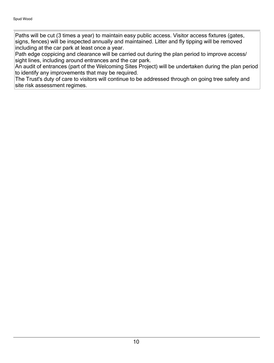Paths will be cut (3 times a year) to maintain easy public access. Visitor access fixtures (gates, signs, fences) will be inspected annually and maintained. Litter and fly tipping will be removed including at the car park at least once a year.

Path edge coppicing and clearance will be carried out during the plan period to improve access/ sight lines, including around entrances and the car park.

An audit of entrances (part of the Welcoming Sites Project) will be undertaken during the plan period to identify any improvements that may be required.

The Trust's duty of care to visitors will continue to be addressed through on going tree safety and site risk assessment regimes.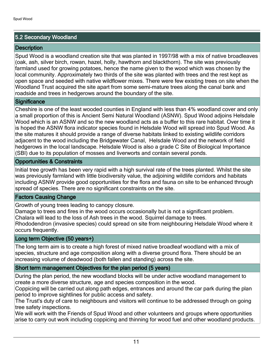## 5.2 Secondary Woodland

## **Description**

Spud Wood is a woodland creation site that was planted in 1997/98 with a mix of native broadleaves (oak, ash, silver birch, rowan, hazel, holly, hawthorn and blackthorn). The site was previously farmland used for growing potatoes, hence the name given to the wood which was chosen by the local community. Approximately two thirds of the site was planted with trees and the rest kept as open space and seeded with native wildflower mixes. There were few existing trees on site when the Woodland Trust acquired the site apart from some semi-mature trees along the canal bank and roadside and trees in hedgerows around the boundary of the site.

## **Significance**

Cheshire is one of the least wooded counties in England with less than 4% woodland cover and only a small proportion of this is Ancient Semi Natural Woodland (ASNW). Spud Wood adjoins Helsdale Wood which is an ASNW and so the new woodland acts as a buffer to this rare habitat. Over time it is hoped the ASNW flora indicator species found in Helsdale Wood will spread into Spud Wood. As the site matures it should provide a range of diverse habitats linked to existing wildlife corridors adjacent to the wood including the Bridgewater Canal, Helsdale Wood and the network of field hedgerows in the local landscape. Helsdale Wood is also a grade C Site of Biological Importance (SBI) due to its population of mosses and liverworts and contain several ponds.

## Opportunities & Constraints

Initial tree growth has been very rapid with a high survival rate of the trees planted. Whilst the site was previously farmland with little biodiversity value, the adjoining wildlife corridors and habitats including ASNW provide good opportunities for the flora and fauna on site to be enhanced through spread of species. There are no significant constraints on the site.

## Factors Causing Change

Growth of young trees leading to canopy closure.

Damage to trees and fires in the wood occurs occasionally but is not a significant problem. Chalara will lead to the loss of Ash trees in the wood. Squirrel damage to trees.

Rhododendron (invasive species) could spread on site from neighbouring Helsdale Wood where it occurs frequently.

## Long term Objective (50 years+)

The long term aim is to create a high forest of mixed native broadleaf woodland with a mix of species, structure and age composition along with a diverse ground flora. There should be an increasing volume of deadwood (both fallen and standing) across the site.

## Short term management Objectives for the plan period (5 years)

During the plan period, the new woodland blocks will be under active woodland management to create a more diverse structure, age and species composition in the wood.

Coppicing will be carried out along path edges, entrances and around the car park during the plan period to improve sightlines for public access and safety.

The Trust's duty of care to neighbours and visitors will continue to be addressed through on going tree safety inspections.

We will work with the Friends of Spud Wood and other volunteers and groups where opportunities arise to carry out work including coppicing and thinning for wood fuel and other woodland products.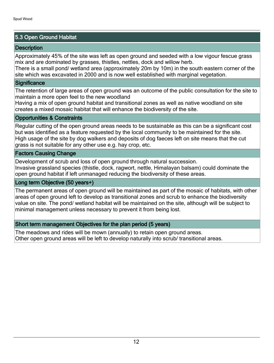## 5.3 Open Ground Habitat

## **Description**

Approximately 45% of the site was left as open ground and seeded with a low vigour fescue grass mix and are dominated by grasses, thistles, nettles, dock and willow herb.

There is a small pond/ wetland area (approximately 20m by 10m) in the south eastern corner of the site which was excavated in 2000 and is now well established with marginal vegetation.

#### **Significance**

The retention of large areas of open ground was an outcome of the public consultation for the site to maintain a more open feel to the new woodland

Having a mix of open ground habitat and transitional zones as well as native woodland on site creates a mixed mosaic habitat that will enhance the biodiversity of the site.

## Opportunities & Constraints

Regular cutting of the open ground areas needs to be sustainable as this can be a significant cost but was identified as a feature requested by the local community to be maintained for the site. High usage of the site by dog walkers and deposits of dog faeces left on site means that the cut grass is not suitable for any other use e.g. hay crop, etc.

#### Factors Causing Change

Development of scrub and loss of open ground through natural succession.

Invasive grassland species (thistle, dock, ragwort, nettle, Himalayan balsam) could dominate the open ground habitat if left unmanaged reducing the biodiversity of these areas.

#### Long term Objective (50 years+)

The permanent areas of open ground will be maintained as part of the mosaic of habitats, with other areas of open ground left to develop as transitional zones and scrub to enhance the biodiversity value on site. The pond/ wetland habitat will be maintained on the site, although will be subject to minimal management unless necessary to prevent it from being lost.

## Short term management Objectives for the plan period (5 years)

The meadows and rides will be mown (annually) to retain open ground areas. Other open ground areas will be left to develop naturally into scrub/ transitional areas.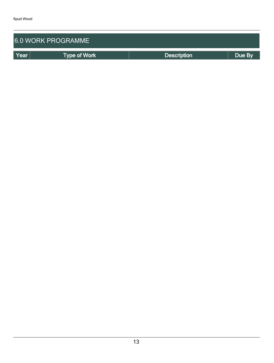| 6.0 WORK PROGRAMME |                     |                    |        |  |  |  |
|--------------------|---------------------|--------------------|--------|--|--|--|
| Year               | <b>Type of Work</b> | <b>Description</b> | Due By |  |  |  |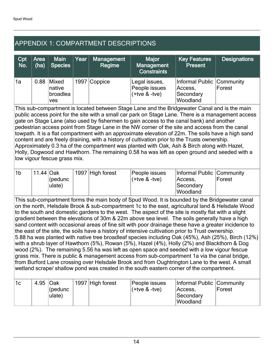## APPENDIX 1: COMPARTMENT DESCRIPTIONS

| Cpt<br>No. | Area $ $<br>(ha) | <b>Main</b><br><b>Species</b>             | Year | <b>Management</b><br>Regime | <b>Major</b><br>Management<br><b>Constraints</b>   | <b>Key Features</b><br>Present                                | <b>Designations</b> |
|------------|------------------|-------------------------------------------|------|-----------------------------|----------------------------------------------------|---------------------------------------------------------------|---------------------|
| `1a        | 0.88             | Mixed<br>native<br>broadlea<br><b>ves</b> |      | 1997 Coppice                | Legal issues,<br>People issues<br>$(+$ tve & -tve) | Informal Public Community<br>Access,<br>Secondary<br>Woodland | Forest              |

This sub-compartment is located between Stage Lane and the Bridgewater Canal and is the main public access point for the site with a small car park on Stage Lane. There is a management access gate on Stage Lane (also used by fishermen to gain access to the canal bank) and another pedestrian access point from Stage Lane in the NW corner of the site and access from the canal towpath. It is a flat compartment with an approximate elevation of 22m. The soils have a high sand content and are freely draining, with a history of cultivation prior to the Trusts ownership. Approximately 0.3 ha of the compartment was planted with Oak, Ash & Birch along with Hazel, Holly, Dogwood and Hawthorn. The remaining 0.58 ha was left as open ground and seeded with a low vigour fescue grass mix.

| '1b | 11.44 Oak |         | 1997 High forest | People issues       | Informal Public Community |        |
|-----|-----------|---------|------------------|---------------------|---------------------------|--------|
|     |           | (pedunc |                  | $($ +tve & -tve $)$ | Access.                   | Forest |
|     |           | ulate)  |                  |                     | <b>Secondary</b>          |        |
|     |           |         |                  |                     | <b>Woodland</b>           |        |

This sub-compartment forms the main body of Spud Wood. It is bounded by the Bridgewater canal on the north, Helsdale Brook & sub-compartment 1c to the east, agricultural land & Helsdale Wood to the south and domestic gardens to the west. The aspect of the site is mostly flat with a slight gradient between the elevations of 30m & 22m above sea level. The soils generally have a high sand content with occasional areas of fine silt with poor drainage these have a greater incidence to the east of the site, the soils have a history of intensive cultivation prior to Trust ownership. 5.88 ha was planted with native tree broadleaf species including Oak (45%), Ash (25%), Birch (12%) with a shrub layer of Hawthorn (5%), Rowan (5%), Hazel (4%), Holly (2%) and Blackthorn & Dog wood (2%). The remaining 5.56 ha was left as open space and seeded with a low vigour fescue grass mix. There is public & management access from sub-compartment 1a via the canal bridge, from Burford Lane crossing over Helsdale Brook and from Oughtrington Lane to the west. A small wetland scrape/ shallow pond was created in the south eastern corner of the compartment.

| 11c | 4.95 Oak | (pedunc<br>ulate) |  | 1997 High forest | People issues<br>l(+tve & -tve) | Informal Public Community<br> Access.<br><b>Secondary</b><br>Woodland | Forest |
|-----|----------|-------------------|--|------------------|---------------------------------|-----------------------------------------------------------------------|--------|
|-----|----------|-------------------|--|------------------|---------------------------------|-----------------------------------------------------------------------|--------|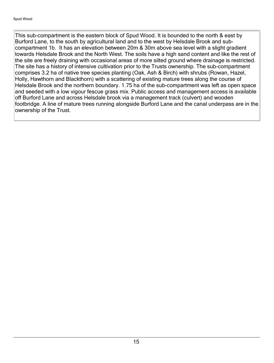This sub-compartment is the eastern block of Spud Wood. It is bounded to the north & east by Burford Lane, to the south by agricultural land and to the west by Helsdale Brook and subcompartment 1b. It has an elevation between 20m & 30m above sea level with a slight gradient towards Helsdale Brook and the North West. The soils have a high sand content and like the rest of the site are freely draining with occasional areas of more silted ground where drainage is restricted. The site has a history of intensive cultivation prior to the Trusts ownership. The sub-compartment comprises 3.2 ha of native tree species planting (Oak, Ash & Birch) with shrubs (Rowan, Hazel, Holly, Hawthorn and Blackthorn) with a scattering of existing mature trees along the course of Helsdale Brook and the northern boundary. 1.75 ha of the sub-compartment was left as open space and seeded with a low vigour fescue grass mix. Public access and management access is available off Burford Lane and across Helsdale brook via a management track (culvert) and wooden footbridge. A line of mature trees running alongside Burford Lane and the canal underpass are in the ownership of the Trust.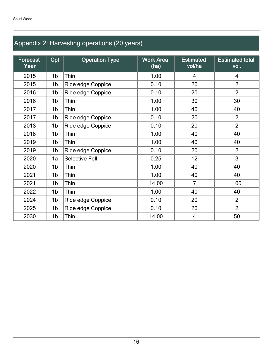## Appendix 2: Harvesting operations (20 years)

| Forecast<br>Year | Cpt            | <b>Operation Type</b> | <b>Work Area</b><br>(ha) | <b>Estimated</b><br>vol/ha | <b>Estimated total</b><br>vol. |
|------------------|----------------|-----------------------|--------------------------|----------------------------|--------------------------------|
| 2015             | 1b             | Thin                  | 1.00                     | $\overline{4}$             | $\overline{4}$                 |
| 2015             | 1b             | Ride edge Coppice     | 0.10                     | 20                         | $\overline{2}$                 |
| 2016             | 1b             | Ride edge Coppice     | 0.10                     | 20                         | $\overline{2}$                 |
| 2016             | 1b             | Thin                  | 1.00                     | 30                         | 30                             |
| 2017             | 1b             | Thin                  | 1.00                     | 40                         | 40                             |
| 2017             | 1b             | Ride edge Coppice     | 0.10                     | 20                         | $\overline{2}$                 |
| 2018             | 1b             | Ride edge Coppice     | 0.10                     | 20                         | $\overline{2}$                 |
| 2018             | 1b             | Thin                  | 1.00                     | 40                         | 40                             |
| 2019             | 1 <sub>b</sub> | Thin                  | 1.00                     | 40                         | 40                             |
| 2019             | 1b             | Ride edge Coppice     | 0.10                     | 20                         | $\overline{2}$                 |
| 2020             | 1a             | <b>Selective Fell</b> | 0.25                     | 12                         | 3                              |
| 2020             | 1b             | Thin                  | 1.00                     | 40                         | 40                             |
| 2021             | 1b             | Thin                  | 1.00                     | 40                         | 40                             |
| 2021             | 1b             | Thin                  | 14.00                    | $\overline{7}$             | 100                            |
| 2022             | 1b             | Thin                  | 1.00                     | 40                         | 40                             |
| 2024             | 1b             | Ride edge Coppice     | 0.10                     | 20                         | $\overline{2}$                 |
| 2025             | 1b             | Ride edge Coppice     | 0.10                     | 20                         | $\overline{2}$                 |
| 2030             | 1b             | Thin                  | 14.00                    | 4                          | 50                             |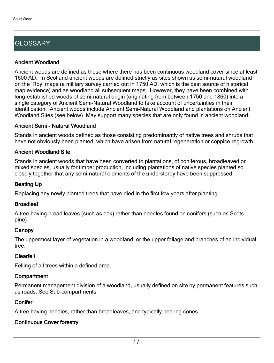## **GLOSSARY**

## Ancient Woodland

Ancient woods are defined as those where there has been continuous woodland cover since at least 1600 AD. In Scotland ancient woods are defined strictly as sites shown as semi-natural woodland on the 'Roy' maps (a military survey carried out in 1750 AD, which is the best source of historical map evidence) and as woodland all subsequent maps. However, they have been combined with long-established woods of semi-natural origin (originating from between 1750 and 1860) into a single category of Ancient Semi-Natural Woodland to take account of uncertainties in their identification. Ancient woods include Ancient Semi-Natural Woodland and plantations on Ancient Woodland Sites (see below). May support many species that are only found in ancient woodland.

## Ancient Semi - Natural Woodland

Stands in ancient woods defined as those consisting predominantly of native trees and shrubs that have not obviously been planted, which have arisen from natural regeneration or coppice regrowth.

## Ancient Woodland Site

Stands in ancient woods that have been converted to plantations, of coniferous, broadleaved or mixed species, usually for timber production, including plantations of native species planted so closely together that any semi-natural elements of the understorey have been suppressed.

## Beating Up

Replacing any newly planted trees that have died in the first few years after planting.

## **Broadleaf**

A tree having broad leaves (such as oak) rather than needles found on conifers (such as Scots pine).

## **Canopy**

The uppermost layer of vegetation in a woodland, or the upper foliage and branches of an individual tree.

## Clearfell

Felling of all trees within a defined area.

## **Compartment**

Permanent management division of a woodland, usually defined on site by permanent features such as roads. See Sub-compartments.

## **Conifer**

A tree having needles, rather than broadleaves, and typically bearing cones.

## Continuous Cover forestry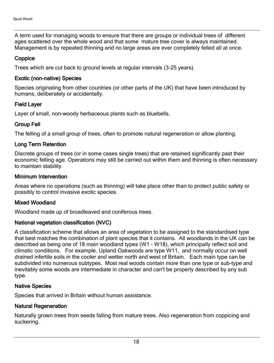A term used for managing woods to ensure that there are groups or individual trees of different ages scattered over the whole wood and that some mature tree cover is always maintained. Management is by repeated thinning and no large areas are ever completely felled all at once.

## **Coppice**

Trees which are cut back to ground levels at regular intervals (3-25 years).

## Exotic (non-native) Species

Species originating from other countries (or other parts of the UK) that have been introduced by humans, deliberately or accidentally.

## Field Layer

Layer of small, non-woody herbaceous plants such as bluebells.

## Group Fell

The felling of a small group of trees, often to promote natural regeneration or allow planting.

## Long Term Retention

Discrete groups of trees (or in some cases single trees) that are retained significantly past their economic felling age. Operations may still be carried out within them and thinning is often necessary to maintain stability.

## Minimum Intervention

Areas where no operations (such as thinning) will take place other than to protect public safety or possibly to control invasive exotic species.

## Mixed Woodland

Woodland made up of broadleaved and coniferous trees.

## National vegetation classification (NVC)

A classification scheme that allows an area of vegetation to be assigned to the standardised type that best matches the combination of plant species that it contains. All woodlands in the UK can be described as being one of 18 main woodland types (W1 - W18), which principally reflect soil and climatic conditions. For example, Upland Oakwoods are type W11, and normally occur on well drained infertile soils in the cooler and wetter north and west of Britain. Each main type can be subdivided into numerous subtypes. Most real woods contain more than one type or sub-type and inevitably some woods are intermediate in character and can't be properly described by any sub type.

## Native Species

Species that arrived in Britain without human assistance.

## Natural Regeneration

Naturally grown trees from seeds falling from mature trees. Also regeneration from coppicing and suckering.